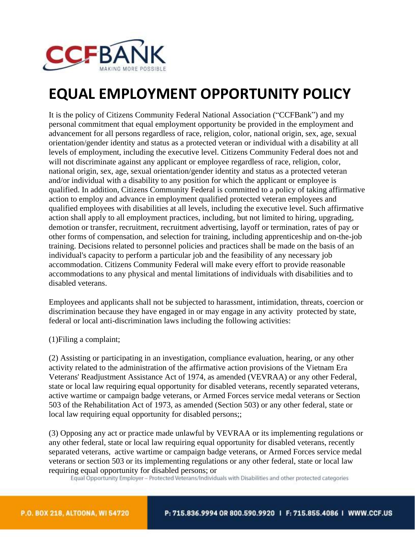

## **EQUAL EMPLOYMENT OPPORTUNITY POLICY**

It is the policy of Citizens Community Federal National Association ("CCFBank") and my personal commitment that equal employment opportunity be provided in the employment and advancement for all persons regardless of race, religion, color, national origin, sex, age, sexual orientation/gender identity and status as a protected veteran or individual with a disability at all levels of employment, including the executive level. Citizens Community Federal does not and will not discriminate against any applicant or employee regardless of race, religion, color, national origin, sex, age, sexual orientation/gender identity and status as a protected veteran and/or individual with a disability to any position for which the applicant or employee is qualified. In addition, Citizens Community Federal is committed to a policy of taking affirmative action to employ and advance in employment qualified protected veteran employees and qualified employees with disabilities at all levels, including the executive level. Such affirmative action shall apply to all employment practices, including, but not limited to hiring, upgrading, demotion or transfer, recruitment, recruitment advertising, layoff or termination, rates of pay or other forms of compensation, and selection for training, including apprenticeship and on-the-job training. Decisions related to personnel policies and practices shall be made on the basis of an individual's capacity to perform a particular job and the feasibility of any necessary job accommodation. Citizens Community Federal will make every effort to provide reasonable accommodations to any physical and mental limitations of individuals with disabilities and to disabled veterans.

Employees and applicants shall not be subjected to harassment, intimidation, threats, coercion or discrimination because they have engaged in or may engage in any activity protected by state, federal or local anti-discrimination laws including the following activities:

(1)Filing a complaint;

(2) Assisting or participating in an investigation, compliance evaluation, hearing, or any other activity related to the administration of the affirmative action provisions of the Vietnam Era Veterans' Readjustment Assistance Act of 1974, as amended (VEVRAA) or any other Federal, state or local law requiring equal opportunity for disabled veterans, recently separated veterans, active wartime or campaign badge veterans, or Armed Forces service medal veterans or Section 503 of the Rehabilitation Act of 1973, as amended (Section 503) or any other federal, state or local law requiring equal opportunity for disabled persons;;

(3) Opposing any act or practice made unlawful by VEVRAA or its implementing regulations or any other federal, state or local law requiring equal opportunity for disabled veterans, recently separated veterans, active wartime or campaign badge veterans, or Armed Forces service medal veterans or section 503 or its implementing regulations or any other federal, state or local law requiring equal opportunity for disabled persons; or<br>Equal Opportunity Employer - Protected Veterans/Individuals with Disabilities and other protected categories